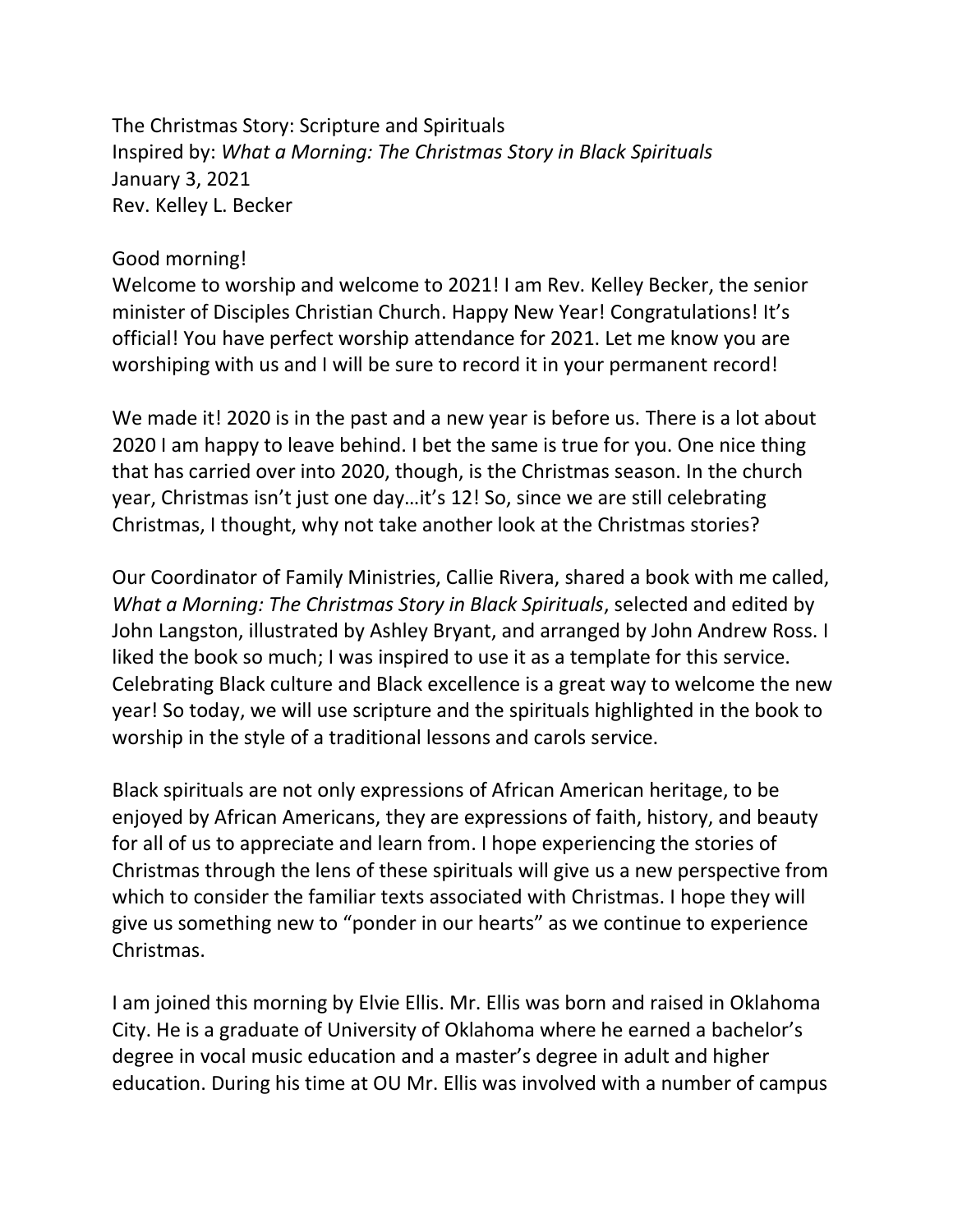The Christmas Story: Scripture and Spirituals Inspired by: *What a Morning: The Christmas Story in Black Spirituals* January 3, 2021 Rev. Kelley L. Becker

#### Good morning!

Welcome to worship and welcome to 2021! I am Rev. Kelley Becker, the senior minister of Disciples Christian Church. Happy New Year! Congratulations! It's official! You have perfect worship attendance for 2021. Let me know you are worshiping with us and I will be sure to record it in your permanent record!

We made it! 2020 is in the past and a new year is before us. There is a lot about 2020 I am happy to leave behind. I bet the same is true for you. One nice thing that has carried over into 2020, though, is the Christmas season. In the church year, Christmas isn't just one day…it's 12! So, since we are still celebrating Christmas, I thought, why not take another look at the Christmas stories?

Our Coordinator of Family Ministries, Callie Rivera, shared a book with me called, *What a Morning: The Christmas Story in Black Spirituals*, selected and edited by John Langston, illustrated by Ashley Bryant, and arranged by John Andrew Ross. I liked the book so much; I was inspired to use it as a template for this service. Celebrating Black culture and Black excellence is a great way to welcome the new year! So today, we will use scripture and the spirituals highlighted in the book to worship in the style of a traditional lessons and carols service.

Black spirituals are not only expressions of African American heritage, to be enjoyed by African Americans, they are expressions of faith, history, and beauty for all of us to appreciate and learn from. I hope experiencing the stories of Christmas through the lens of these spirituals will give us a new perspective from which to consider the familiar texts associated with Christmas. I hope they will give us something new to "ponder in our hearts" as we continue to experience Christmas.

I am joined this morning by Elvie Ellis. Mr. Ellis was born and raised in Oklahoma City. He is a graduate of University of Oklahoma where he earned a bachelor's degree in vocal music education and a master's degree in adult and higher education. During his time at OU Mr. Ellis was involved with a number of campus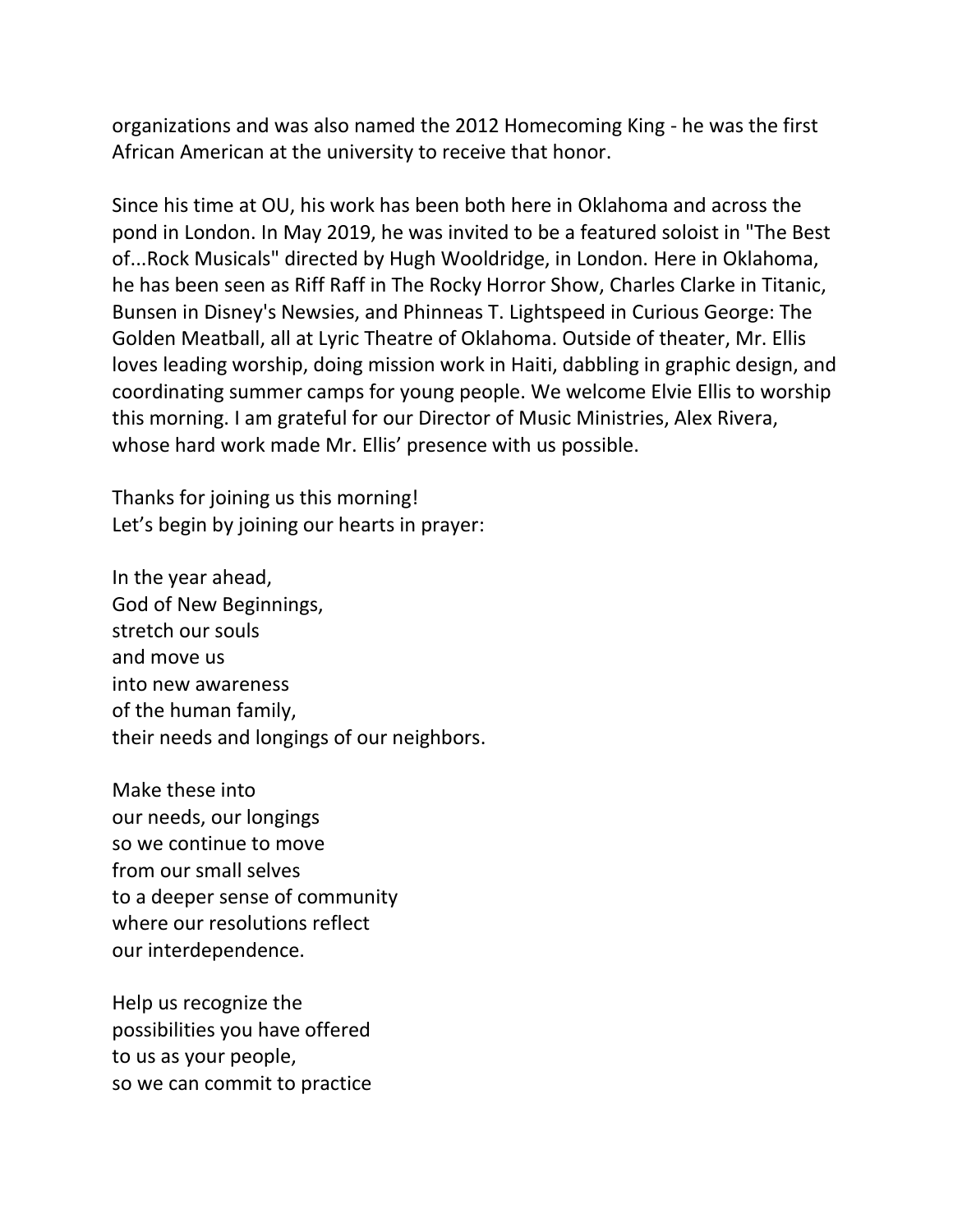organizations and was also named the 2012 Homecoming King - he was the first African American at the university to receive that honor.

Since his time at OU, his work has been both here in Oklahoma and across the pond in London. In May 2019, he was invited to be a featured soloist in "The Best of...Rock Musicals" directed by Hugh Wooldridge, in London. Here in Oklahoma, he has been seen as Riff Raff in The Rocky Horror Show, Charles Clarke in Titanic, Bunsen in Disney's Newsies, and Phinneas T. Lightspeed in Curious George: The Golden Meatball, all at Lyric Theatre of Oklahoma. Outside of theater, Mr. Ellis loves leading worship, doing mission work in Haiti, dabbling in graphic design, and coordinating summer camps for young people. We welcome Elvie Ellis to worship this morning. I am grateful for our Director of Music Ministries, Alex Rivera, whose hard work made Mr. Ellis' presence with us possible.

Thanks for joining us this morning! Let's begin by joining our hearts in prayer:

In the year ahead, God of New Beginnings, stretch our souls and move us into new awareness of the human family, their needs and longings of our neighbors.

Make these into our needs, our longings so we continue to move from our small selves to a deeper sense of community where our resolutions reflect our interdependence.

Help us recognize the possibilities you have offered to us as your people, so we can commit to practice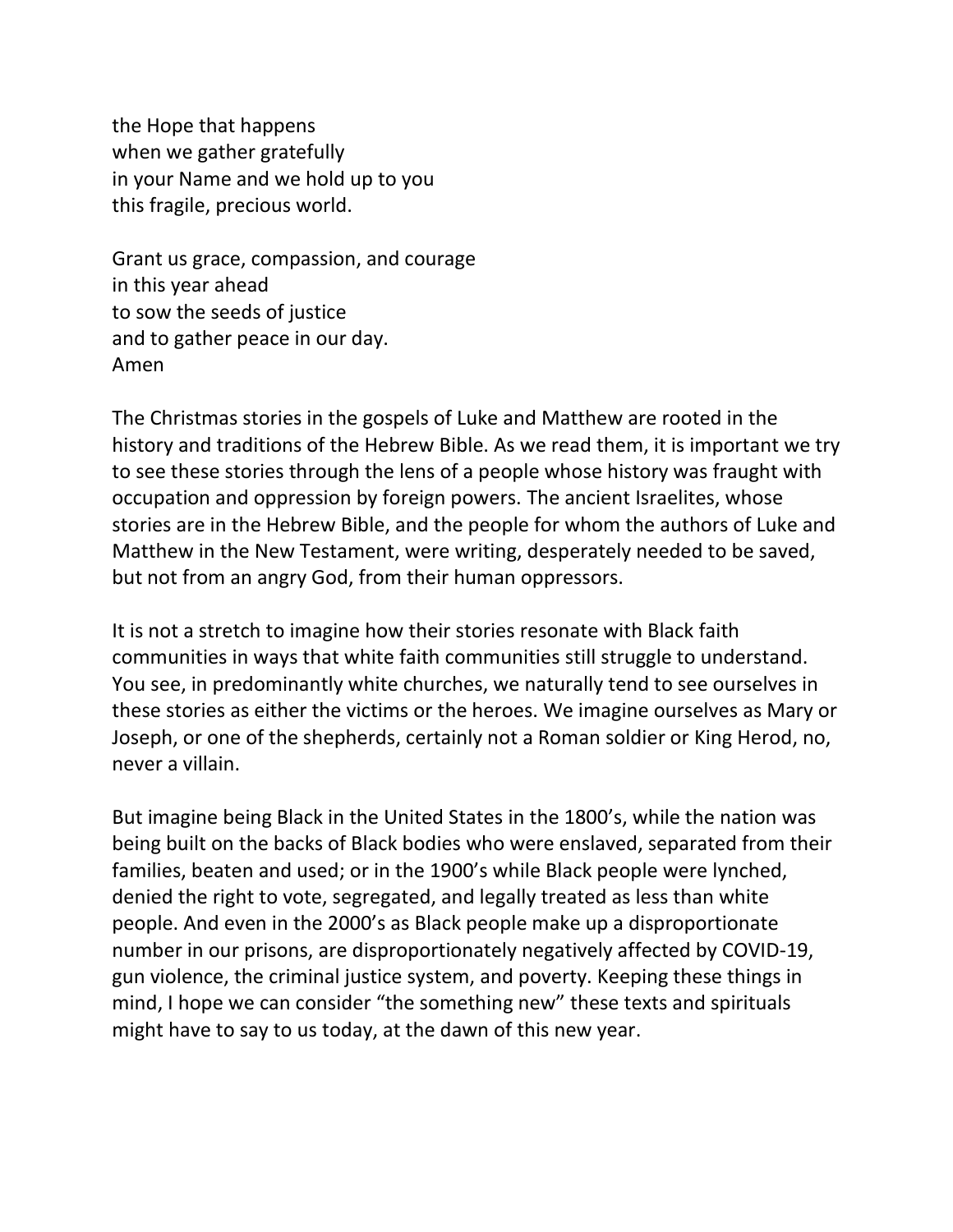the Hope that happens when we gather gratefully in your Name and we hold up to you this fragile, precious world.

Grant us grace, compassion, and courage in this year ahead to sow the seeds of justice and to gather peace in our day. Amen

The Christmas stories in the gospels of Luke and Matthew are rooted in the history and traditions of the Hebrew Bible. As we read them, it is important we try to see these stories through the lens of a people whose history was fraught with occupation and oppression by foreign powers. The ancient Israelites, whose stories are in the Hebrew Bible, and the people for whom the authors of Luke and Matthew in the New Testament, were writing, desperately needed to be saved, but not from an angry God, from their human oppressors.

It is not a stretch to imagine how their stories resonate with Black faith communities in ways that white faith communities still struggle to understand. You see, in predominantly white churches, we naturally tend to see ourselves in these stories as either the victims or the heroes. We imagine ourselves as Mary or Joseph, or one of the shepherds, certainly not a Roman soldier or King Herod, no, never a villain.

But imagine being Black in the United States in the 1800's, while the nation was being built on the backs of Black bodies who were enslaved, separated from their families, beaten and used; or in the 1900's while Black people were lynched, denied the right to vote, segregated, and legally treated as less than white people. And even in the 2000's as Black people make up a disproportionate number in our prisons, are disproportionately negatively affected by COVID-19, gun violence, the criminal justice system, and poverty. Keeping these things in mind, I hope we can consider "the something new" these texts and spirituals might have to say to us today, at the dawn of this new year.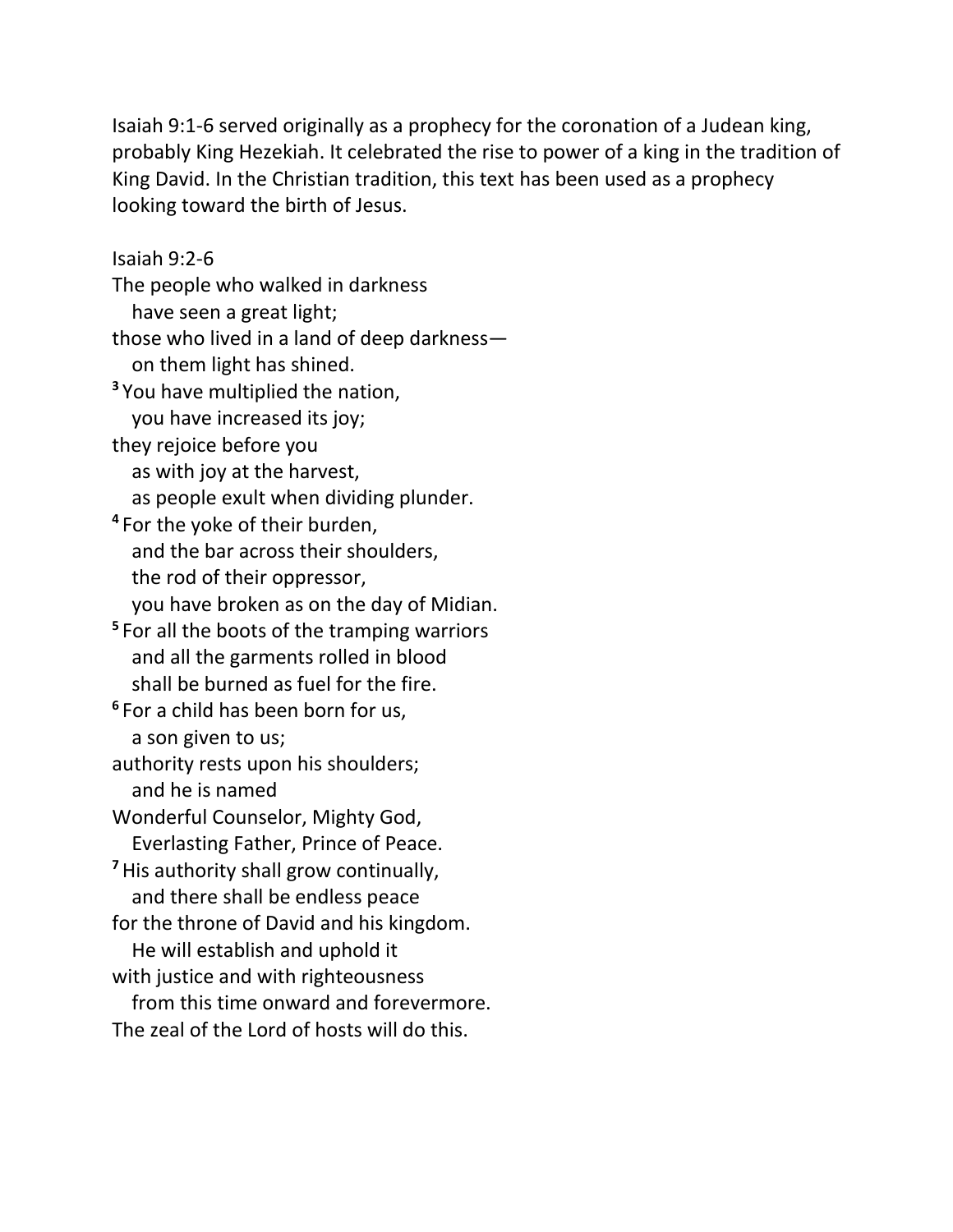Isaiah 9:1-6 served originally as a prophecy for the coronation of a Judean king, probably King Hezekiah. It celebrated the rise to power of a king in the tradition of King David. In the Christian tradition, this text has been used as a prophecy looking toward the birth of Jesus.

Isaiah 9:2-6 The people who walked in darkness have seen a great light; those who lived in a land of deep darkness on them light has shined. **<sup>3</sup>** You have multiplied the nation, you have increased its joy; they rejoice before you as with joy at the harvest, as people exult when dividing plunder. **4** For the yoke of their burden, and the bar across their shoulders, the rod of their oppressor, you have broken as on the day of Midian. **5** For all the boots of the tramping warriors and all the garments rolled in blood shall be burned as fuel for the fire. **6** For a child has been born for us, a son given to us; authority rests upon his shoulders; and he is named Wonderful Counselor, Mighty God, Everlasting Father, Prince of Peace. **<sup>7</sup>**His authority shall grow continually, and there shall be endless peace for the throne of David and his kingdom. He will establish and uphold it with justice and with righteousness from this time onward and forevermore. The zeal of the Lord of hosts will do this.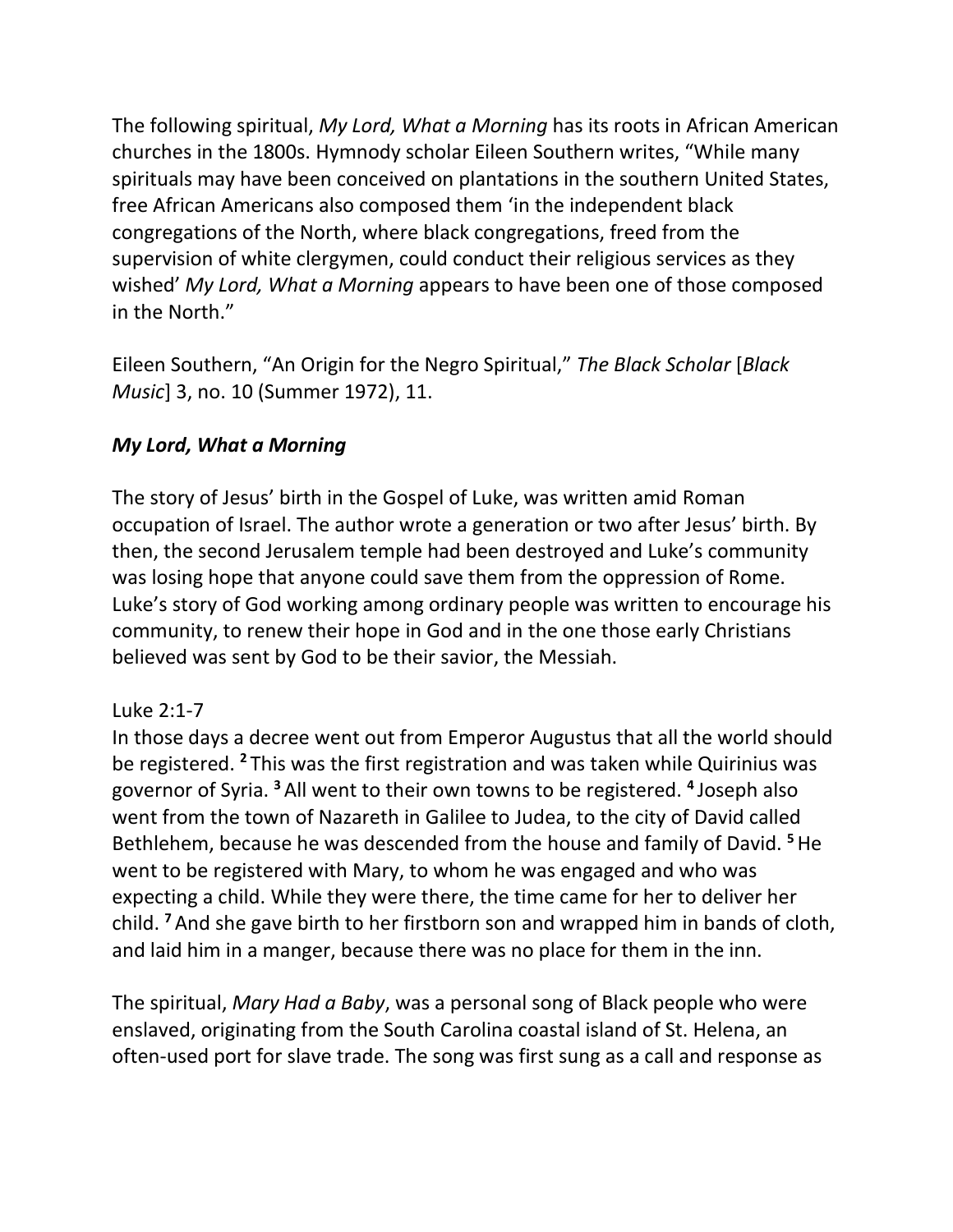The following spiritual, *My Lord, What a Morning* has its roots in African American churches in the 1800s. Hymnody scholar Eileen Southern writes, "While many spirituals may have been conceived on plantations in the southern United States, free African Americans also composed them 'in the independent black congregations of the North, where black congregations, freed from the supervision of white clergymen, could conduct their religious services as they wished' *My Lord, What a Morning* appears to have been one of those composed in the North."

Eileen Southern, "An Origin for the Negro Spiritual," *The Black Scholar* [*Black Music*] 3, no. 10 (Summer 1972), 11.

# *My Lord, What a Morning*

The story of Jesus' birth in the Gospel of Luke, was written amid Roman occupation of Israel. The author wrote a generation or two after Jesus' birth. By then, the second Jerusalem temple had been destroyed and Luke's community was losing hope that anyone could save them from the oppression of Rome. Luke's story of God working among ordinary people was written to encourage his community, to renew their hope in God and in the one those early Christians believed was sent by God to be their savior, the Messiah.

### Luke 2:1-7

In those days a decree went out from Emperor Augustus that all the world should be registered. **<sup>2</sup>** This was the first registration and was taken while Quirinius was governor of Syria. **<sup>3</sup>** All went to their own towns to be registered. **<sup>4</sup>** Joseph also went from the town of Nazareth in Galilee to Judea, to the city of David called Bethlehem, because he was descended from the house and family of David. **<sup>5</sup>**He went to be registered with Mary, to whom he was engaged and who was expecting a child. While they were there, the time came for her to deliver her child. **<sup>7</sup>** And she gave birth to her firstborn son and wrapped him in bands of cloth, and laid him in a manger, because there was no place for them in the inn.

The spiritual, *Mary Had a Baby*, was a personal song of Black people who were enslaved, originating from the South Carolina coastal island of St. Helena, an often-used port for slave trade. The song was first sung as a call and response as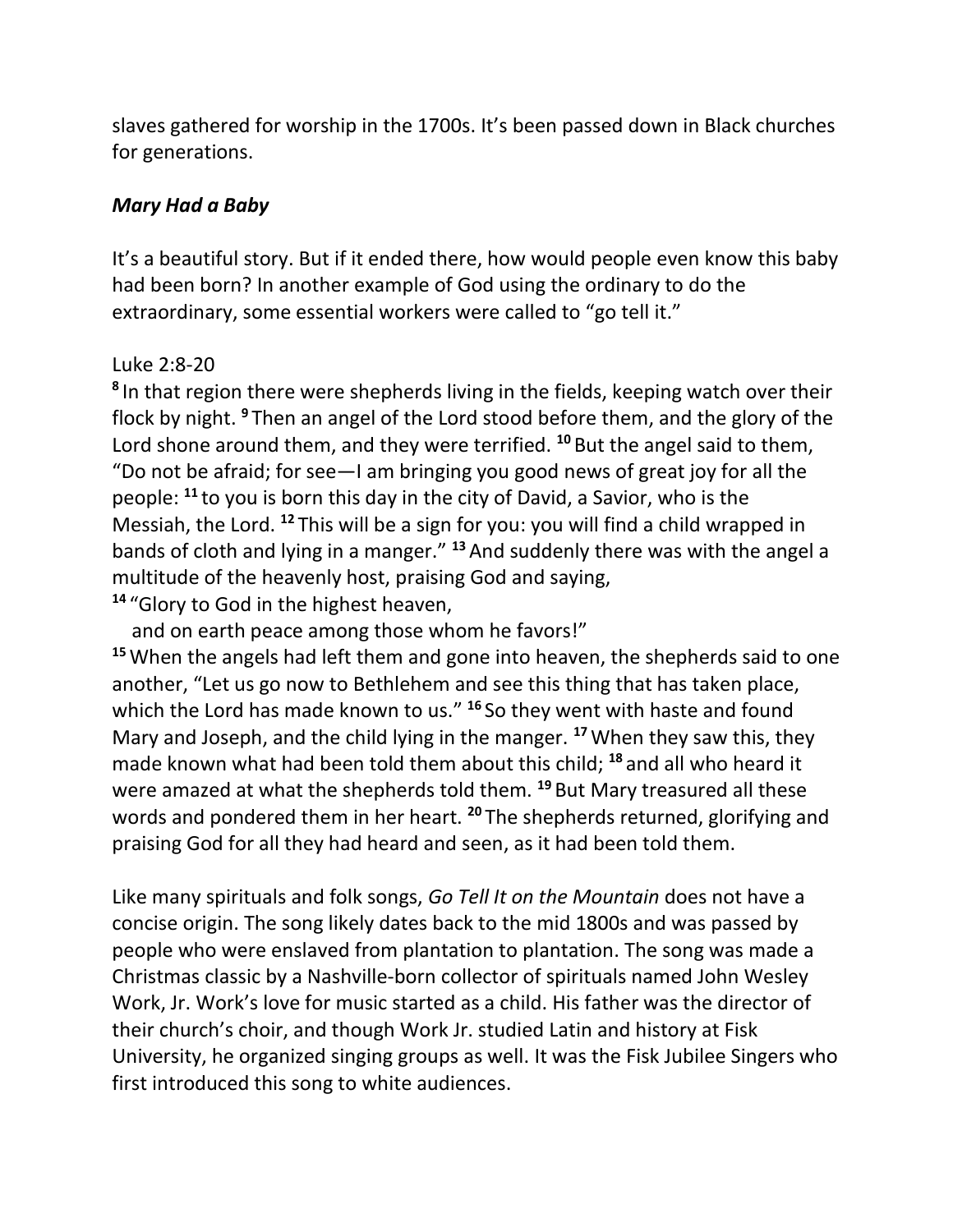slaves gathered for worship in the 1700s. It's been passed down in Black churches for generations.

### *Mary Had a Baby*

It's a beautiful story. But if it ended there, how would people even know this baby had been born? In another example of God using the ordinary to do the extraordinary, some essential workers were called to "go tell it."

# Luke 2:8-20

**8** In that region there were shepherds living in the fields, keeping watch over their flock by night. **<sup>9</sup>** Then an angel of the Lord stood before them, and the glory of the Lord shone around them, and they were terrified. **<sup>10</sup>** But the angel said to them, "Do not be afraid; for see—I am bringing you good news of great joy for all the people: **<sup>11</sup>** to you is born this day in the city of David, a Savior, who is the Messiah, the Lord. **<sup>12</sup>** This will be a sign for you: you will find a child wrapped in bands of cloth and lying in a manger." **<sup>13</sup>** And suddenly there was with the angel a multitude of the heavenly host, praising God and saying, **<sup>14</sup>** "Glory to God in the highest heaven,

 and on earth peace among those whom he favors!" **<sup>15</sup>**When the angels had left them and gone into heaven, the shepherds said to one another, "Let us go now to Bethlehem and see this thing that has taken place, which the Lord has made known to us." **<sup>16</sup>** So they went with haste and found Mary and Joseph, and the child lying in the manger. **<sup>17</sup>**When they saw this, they made known what had been told them about this child; **<sup>18</sup>** and all who heard it were amazed at what the shepherds told them. **<sup>19</sup>** But Mary treasured all these words and pondered them in her heart. **<sup>20</sup>** The shepherds returned, glorifying and praising God for all they had heard and seen, as it had been told them.

Like many spirituals and folk songs, *Go Tell It on the Mountain* does not have a concise origin. The song likely dates back to the mid 1800s and was passed by people who were enslaved from plantation to plantation. The song was made a Christmas classic by a Nashville-born collector of spirituals named John Wesley Work, Jr. Work's love for music started as a child. His father was the director of their church's choir, and though Work Jr. studied Latin and history at Fisk University, he organized singing groups as well. It was the Fisk Jubilee Singers who first introduced this song to white audiences.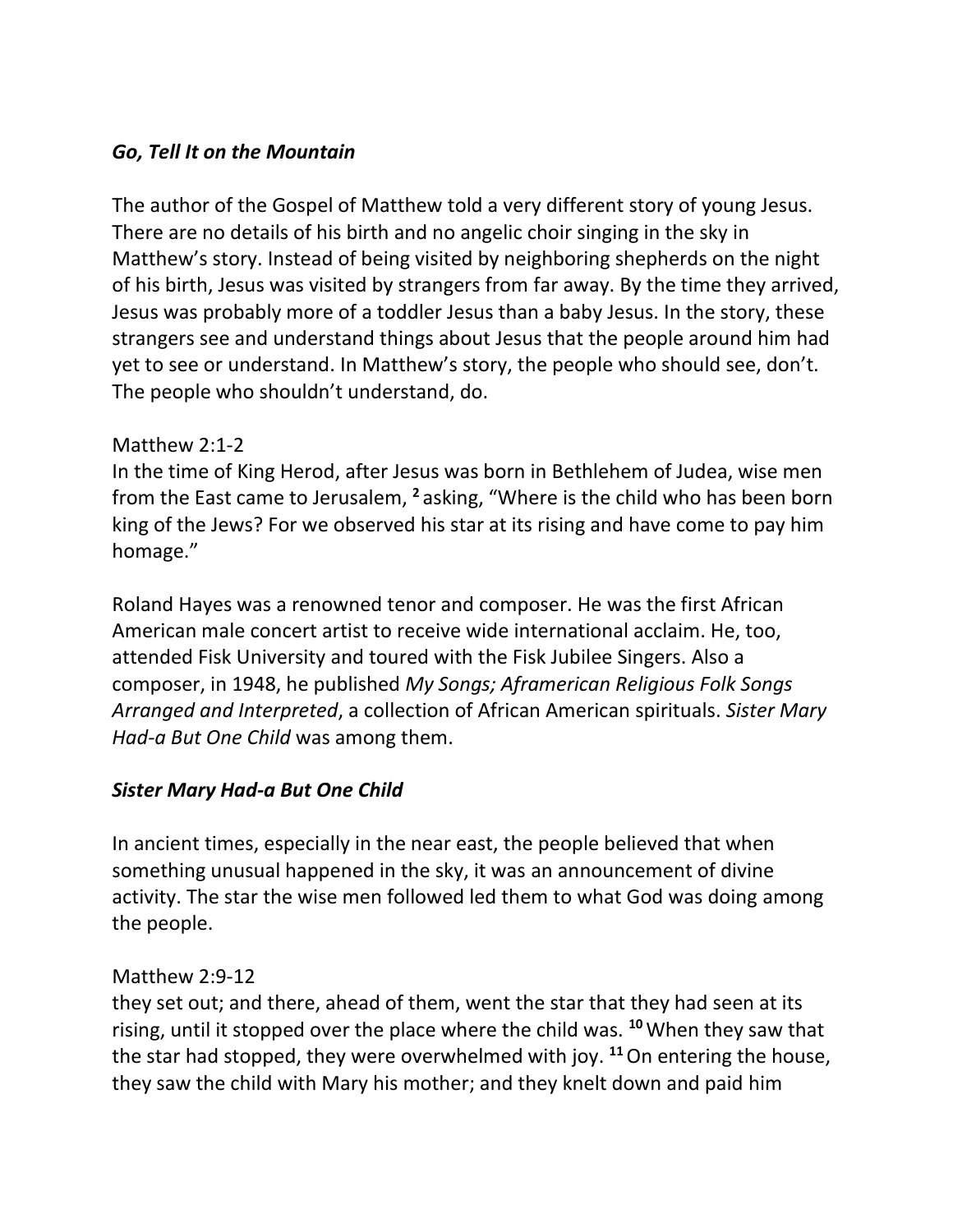# *Go, Tell It on the Mountain*

The author of the Gospel of Matthew told a very different story of young Jesus. There are no details of his birth and no angelic choir singing in the sky in Matthew's story. Instead of being visited by neighboring shepherds on the night of his birth, Jesus was visited by strangers from far away. By the time they arrived, Jesus was probably more of a toddler Jesus than a baby Jesus. In the story, these strangers see and understand things about Jesus that the people around him had yet to see or understand. In Matthew's story, the people who should see, don't. The people who shouldn't understand, do.

### Matthew 2:1-2

In the time of King Herod, after Jesus was born in Bethlehem of Judea, wise men from the East came to Jerusalem, **<sup>2</sup>** asking, "Where is the child who has been born king of the Jews? For we observed his star at its rising and have come to pay him homage."

Roland Hayes was a renowned tenor and composer. He was the first African American male concert artist to receive wide international acclaim. He, too, attended Fisk University and toured with the Fisk Jubilee Singers. Also a composer, in 1948, he published *My Songs; Aframerican Religious Folk Songs Arranged and Interpreted*, a collection of African American spirituals. *Sister Mary Had-a But One Child* was among them.

# *Sister Mary Had-a But One Child*

In ancient times, especially in the near east, the people believed that when something unusual happened in the sky, it was an announcement of divine activity. The star the wise men followed led them to what God was doing among the people.

### Matthew 2:9-12

they set out; and there, ahead of them, went the star that they had seen at its rising, until it stopped over the place where the child was. **<sup>10</sup>**When they saw that the star had stopped, they were overwhelmed with joy. **<sup>11</sup>**On entering the house, they saw the child with Mary his mother; and they knelt down and paid him